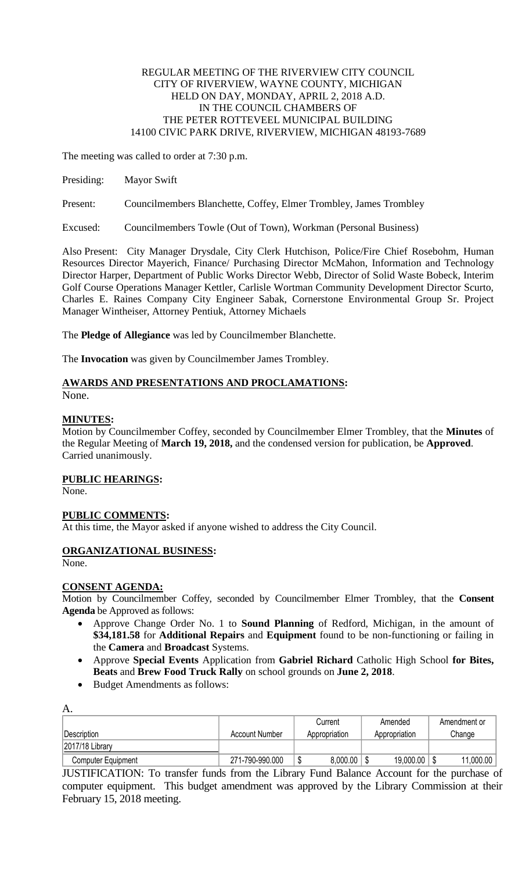#### REGULAR MEETING OF THE RIVERVIEW CITY COUNCIL CITY OF RIVERVIEW, WAYNE COUNTY, MICHIGAN HELD ON DAY, MONDAY, APRIL 2, 2018 A.D. IN THE COUNCIL CHAMBERS OF THE PETER ROTTEVEEL MUNICIPAL BUILDING 14100 CIVIC PARK DRIVE, RIVERVIEW, MICHIGAN 48193-7689

The meeting was called to order at 7:30 p.m.

Presiding: Mayor Swift

Present: Councilmembers Blanchette, Coffey, Elmer Trombley, James Trombley

Excused: Councilmembers Towle (Out of Town), Workman (Personal Business)

Also Present: City Manager Drysdale, City Clerk Hutchison, Police/Fire Chief Rosebohm, Human Resources Director Mayerich, Finance/ Purchasing Director McMahon, Information and Technology Director Harper, Department of Public Works Director Webb, Director of Solid Waste Bobeck, Interim Golf Course Operations Manager Kettler, Carlisle Wortman Community Development Director Scurto, Charles E. Raines Company City Engineer Sabak, Cornerstone Environmental Group Sr. Project Manager Wintheiser, Attorney Pentiuk, Attorney Michaels

The **Pledge of Allegiance** was led by Councilmember Blanchette.

The **Invocation** was given by Councilmember James Trombley.

# **AWARDS AND PRESENTATIONS AND PROCLAMATIONS:**

None.

# **MINUTES:**

Motion by Councilmember Coffey, seconded by Councilmember Elmer Trombley, that the **Minutes** of the Regular Meeting of **March 19, 2018,** and the condensed version for publication, be **Approved**. Carried unanimously.

# **PUBLIC HEARINGS:**

None.

# **PUBLIC COMMENTS:**

At this time, the Mayor asked if anyone wished to address the City Council.

# **ORGANIZATIONAL BUSINESS:**

None.

A.

# **CONSENT AGENDA:**

Motion by Councilmember Coffey, seconded by Councilmember Elmer Trombley, that the **Consent Agenda** be Approved as follows:

- Approve Change Order No. 1 to **Sound Planning** of Redford, Michigan, in the amount of **\$34,181.58** for **Additional Repairs** and **Equipment** found to be non-functioning or failing in the **Camera** and **Broadcast** Systems.
- Approve **Special Events** Application from **Gabriel Richard** Catholic High School **for Bites, Beats** and **Brew Food Truck Rally** on school grounds on **June 2, 2018**.
- Budget Amendments as follows:

| л.                        |                 |   | Current       | Amended       | Amendment or |
|---------------------------|-----------------|---|---------------|---------------|--------------|
| Description               | Account Number  |   | Appropriation | Appropriation | Change       |
| 2017/18 Library           |                 |   |               |               |              |
| <b>Computer Equipment</b> | 271-790-990.000 | Φ | 8,000.00      | 19,000.00     | 11,000.00    |

JUSTIFICATION: To transfer funds from the Library Fund Balance Account for the purchase of computer equipment. This budget amendment was approved by the Library Commission at their February 15, 2018 meeting.